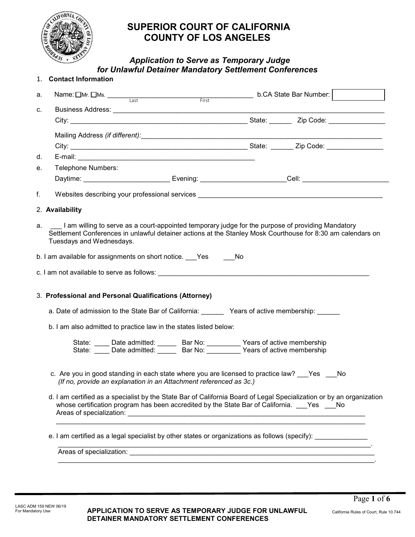

# **SUPERIOR COURT OF CALIFORNIA COUNTY OF LOS ANGELES**

# *Application to Serve as Temporary Judge for Unlawful Detainer Mandatory Settlement Conferences*

|    | 1. Contact Information                                                                                                                                                                                                                          |  |  |  |  |
|----|-------------------------------------------------------------------------------------------------------------------------------------------------------------------------------------------------------------------------------------------------|--|--|--|--|
| а. | Name: $\Box$ Mr. $\Box$ Ms. $\Box$ Last $\Box$ First b.CA State Bar Number: $\Box$                                                                                                                                                              |  |  |  |  |
| c. |                                                                                                                                                                                                                                                 |  |  |  |  |
|    | City: City: City: City: City: City: City: City: City: City: City: City: City: City: City: City: City: City: City: City: City: City: City: City: City: City: City: City: City: City: City: City: City: City: City: City: City:                   |  |  |  |  |
|    |                                                                                                                                                                                                                                                 |  |  |  |  |
|    |                                                                                                                                                                                                                                                 |  |  |  |  |
| d. |                                                                                                                                                                                                                                                 |  |  |  |  |
| е. | Telephone Numbers:                                                                                                                                                                                                                              |  |  |  |  |
|    | Daytime: ___________________________Evening: ________________________Cell: _________________________                                                                                                                                            |  |  |  |  |
| f. |                                                                                                                                                                                                                                                 |  |  |  |  |
|    | 2. Availability                                                                                                                                                                                                                                 |  |  |  |  |
|    | a. I am willing to serve as a court-appointed temporary judge for the purpose of providing Mandatory<br>Settlement Conferences in unlawful detainer actions at the Stanley Mosk Courthouse for 8:30 am calendars on<br>Tuesdays and Wednesdays. |  |  |  |  |
|    | b. I am available for assignments on short notice. Pes Complete No                                                                                                                                                                              |  |  |  |  |
|    | c. I am not available to serve as follows: example and a server of the server of the server of the server of the server of the server of the server of the server of the server of the server of the server of the server of t                  |  |  |  |  |
|    | 3. Professional and Personal Qualifications (Attorney)                                                                                                                                                                                          |  |  |  |  |
|    | a. Date of admission to the State Bar of California: Years of active membership:                                                                                                                                                                |  |  |  |  |
|    | b. I am also admitted to practice law in the states listed below:                                                                                                                                                                               |  |  |  |  |
|    | State: _____ Date admitted: ______ Bar No: _________ Years of active membership<br>State: _____ Date admitted: ______ Bar No: _________ Years of active membership                                                                              |  |  |  |  |
|    | c. Are you in good standing in each state where you are licensed to practice law? Yes No<br>(If no, provide an explanation in an Attachment referenced as 3c.)                                                                                  |  |  |  |  |
|    | d. I am certified as a specialist by the State Bar of California Board of Legal Specialization or by an organization<br>whose certification program has been accredited by the State Bar of California. Yes No                                  |  |  |  |  |
|    |                                                                                                                                                                                                                                                 |  |  |  |  |
|    | e. I am certified as a legal specialist by other states or organizations as follows (specify): ______________                                                                                                                                   |  |  |  |  |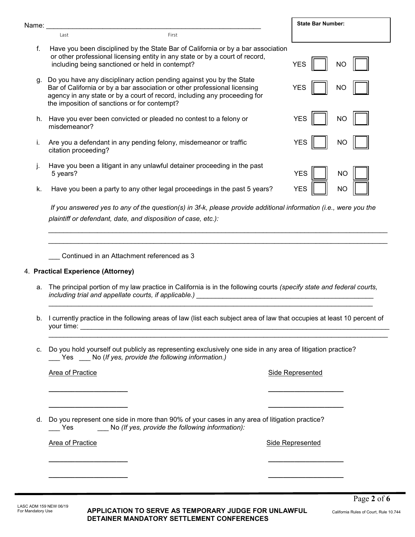| Name:                                                                                                                                                                   |                                                                                                                           |                                                                                                                                                                                                                                | <b>State Bar Number:</b> |  |
|-------------------------------------------------------------------------------------------------------------------------------------------------------------------------|---------------------------------------------------------------------------------------------------------------------------|--------------------------------------------------------------------------------------------------------------------------------------------------------------------------------------------------------------------------------|--------------------------|--|
|                                                                                                                                                                         | Last                                                                                                                      | First                                                                                                                                                                                                                          |                          |  |
| f.                                                                                                                                                                      | including being sanctioned or held in contempt?                                                                           | Have you been disciplined by the State Bar of California or by a bar association<br>or other professional licensing entity in any state or by a court of record,                                                               | <b>YES</b><br>ΝO         |  |
| g.                                                                                                                                                                      | the imposition of sanctions or for contempt?                                                                              | Do you have any disciplinary action pending against you by the State<br>Bar of California or by a bar association or other professional licensing<br>agency in any state or by a court of record, including any proceeding for | <b>YES</b><br>NO         |  |
| h.                                                                                                                                                                      | misdemeanor?                                                                                                              | Have you ever been convicted or pleaded no contest to a felony or                                                                                                                                                              | <b>YES</b><br><b>NO</b>  |  |
| i.                                                                                                                                                                      | citation proceeding?                                                                                                      | Are you a defendant in any pending felony, misdemeanor or traffic                                                                                                                                                              | <b>YES</b><br>ΝO         |  |
| j.                                                                                                                                                                      | 5 years?                                                                                                                  | Have you been a litigant in any unlawful detainer proceeding in the past                                                                                                                                                       | <b>YES</b><br><b>NO</b>  |  |
| k.                                                                                                                                                                      |                                                                                                                           | Have you been a party to any other legal proceedings in the past 5 years?                                                                                                                                                      | <b>YES</b><br><b>NO</b>  |  |
|                                                                                                                                                                         |                                                                                                                           | If you answered yes to any of the question(s) in 3f-k, please provide additional information (i.e., were you the<br>plaintiff or defendant, date, and disposition of case, etc.):                                              |                          |  |
|                                                                                                                                                                         |                                                                                                                           | Continued in an Attachment referenced as 3                                                                                                                                                                                     |                          |  |
|                                                                                                                                                                         | 4. Practical Experience (Attorney)                                                                                        |                                                                                                                                                                                                                                |                          |  |
| а.                                                                                                                                                                      |                                                                                                                           | The principal portion of my law practice in California is in the following courts (specify state and federal courts,<br>including trial and appellate courts, if applicable.)                                                  |                          |  |
|                                                                                                                                                                         | b. I currently practice in the following areas of law (list each subject area of law that occupies at least 10 percent of |                                                                                                                                                                                                                                |                          |  |
| Do you hold yourself out publicly as representing exclusively one side in any area of litigation practice?<br>c.<br>Yes No (If yes, provide the following information.) |                                                                                                                           |                                                                                                                                                                                                                                |                          |  |
|                                                                                                                                                                         | <b>Area of Practice</b>                                                                                                   |                                                                                                                                                                                                                                | <b>Side Represented</b>  |  |

d. Do you represent one side in more than 90% of your cases in any area of litigation practice?<br>No (If yes, provide the following information): \_\_\_ Yes \_\_\_ No *(If yes, provide the following information):*

**\_\_\_\_\_\_\_\_\_\_\_\_\_\_\_\_\_\_\_\_\_ \_\_\_\_\_\_\_\_\_\_\_\_\_\_\_\_\_\_\_\_**

**\_\_\_\_\_\_\_\_\_\_\_\_\_\_\_\_\_\_\_\_\_ \_\_\_\_\_\_\_\_\_\_\_\_\_\_\_\_\_\_\_\_**

**\_\_\_\_\_\_\_\_\_\_\_\_\_\_\_\_\_\_\_\_\_ \_\_\_\_\_\_\_\_\_\_\_\_\_\_\_\_\_\_\_\_**

**\_\_\_\_\_\_\_\_\_\_\_\_\_\_\_\_\_\_\_\_\_ \_\_\_\_\_\_\_\_\_\_\_\_\_\_\_\_\_\_\_\_**

Area of Practice **Side Represented** 

**APPLICATION TO SERVE AS TEMPORARY JUDGE FOR UNLAWFUL DETAINER MANDATORY SETTLEMENT CONFERENCES**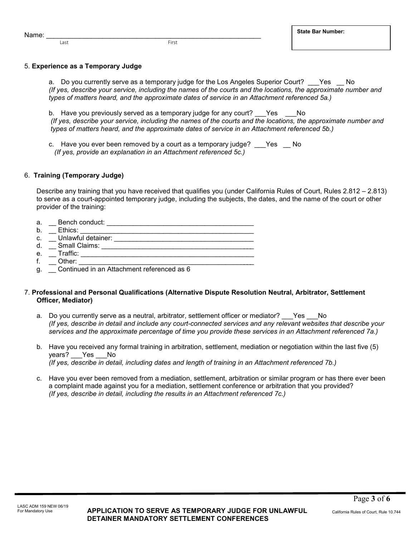# **State Bar Number:**

5. **Experience as a Temporary Judge**

a. Do you currently serve as a temporary judge for the Los Angeles Superior Court? \_\_\_Yes \_\_ No *(If yes, describe your service, including the names of the courts and the locations, the approximate number and types of matters heard, and the approximate dates of service in an Attachment referenced 5a.)*

b. Have you previously served as a temporary judge for any court? Yes No *(If yes, describe your service, including the names of the courts and the locations, the approximate number and types of matters heard, and the approximate dates of service in an Attachment referenced 5b.)*

c. Have you ever been removed by a court as a temporary judge? Yes No *(If yes, provide an explanation in an Attachment referenced 5c.)*

## 6. **Training (Temporary Judge)**

Describe any training that you have received that qualifies you (under California Rules of Court, Rules 2.812 – 2.813) to serve as a court-appointed temporary judge, including the subjects, the dates, and the name of the court or other provider of the training:

| a. | Bench conduct:                             |
|----|--------------------------------------------|
| b. | Ethics:                                    |
| C. | Unlawful detainer:                         |
| d. | <b>Small Claims:</b>                       |
| e. | Traffic:                                   |
|    | Other:                                     |
| g. | Continued in an Attachment referenced as 6 |

### 7. **Professional and Personal Qualifications (Alternative Dispute Resolution Neutral, Arbitrator, Settlement Officer, Mediator)**

- a. Do you currently serve as a neutral, arbitrator, settlement officer or mediator? Yes No *(If yes, describe in detail and include any court-connected services and any relevant websites that describe your services and the approximate percentage of time you provide these services in an Attachment referenced 7a.)*
- b. Have you received any formal training in arbitration, settlement, mediation or negotiation within the last five (5) years? \_\_\_ Yes \_\_ No *(If yes, describe in detail, including dates and length of training in an Attachment referenced 7b.)*
- c. Have you ever been removed from a mediation, settlement, arbitration or similar program or has there ever been a complaint made against you for a mediation, settlement conference or arbitration that you provided? *(If yes, describe in detail, including the results in an Attachment referenced 7c.)*

Name: \_\_\_\_\_\_\_\_\_\_\_\_\_\_\_\_\_\_\_\_\_\_\_\_\_\_\_\_\_\_\_\_\_\_\_\_\_\_\_\_\_\_\_\_\_\_\_\_\_\_\_\_\_\_\_\_\_

Last **First**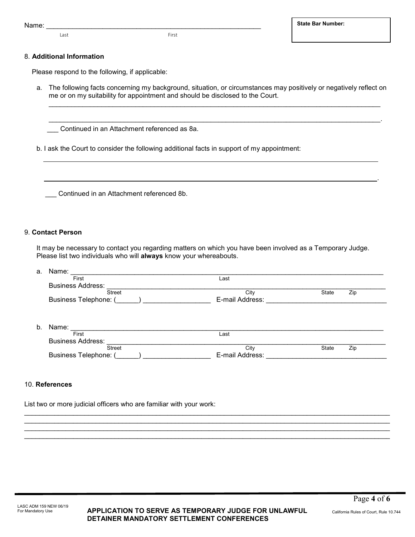Name: \_\_\_\_\_\_\_\_\_\_\_\_\_\_\_\_\_\_\_\_\_\_\_\_\_\_\_\_\_\_\_\_\_\_\_\_\_\_\_\_\_\_\_\_\_\_\_\_\_\_\_\_\_\_\_\_\_

Last First

#### 8. **Additional Information**

Please respond to the following, if applicable:

a. The following facts concerning my background, situation, or circumstances may positively or negatively reflect on me or on my suitability for appointment and should be disclosed to the Court.

\_\_\_\_\_\_\_\_\_\_\_\_\_\_\_\_\_\_\_\_\_\_\_\_\_\_\_\_\_\_\_\_\_\_\_\_\_\_\_\_\_\_\_\_\_\_\_\_\_\_\_\_\_\_\_\_\_\_\_\_\_\_\_\_\_\_\_\_\_\_\_\_\_\_\_\_\_\_\_\_\_\_\_\_\_\_\_\_

\_\_\_\_\_\_\_\_\_\_\_\_\_\_\_\_\_\_\_\_\_\_\_\_\_\_\_\_\_\_\_\_\_\_\_\_\_\_\_\_\_\_\_\_\_\_\_\_\_\_\_\_\_\_\_\_\_\_\_\_\_\_\_\_\_\_\_\_\_\_\_\_\_\_\_\_\_\_\_\_\_\_\_\_\_\_\_\_.

Continued in an Attachment referenced as 8a.

b. I ask the Court to consider the following additional facts in support of my appointment:

\_\_\_ Continued in an Attachment referenced 8b.

#### 9. **Contact Person**

It may be necessary to contact you regarding matters on which you have been involved as a Temporary Judge. Please list two individuals who will **always** know your whereabouts.

| а. | Name:                        |                 |                     |  |  |  |
|----|------------------------------|-----------------|---------------------|--|--|--|
|    | First                        | Last            |                     |  |  |  |
|    | <b>Business Address:</b>     |                 |                     |  |  |  |
|    | <b>Street</b>                | City            | State<br>Zip        |  |  |  |
|    | <b>Business Telephone:</b> ( | E-mail Address: |                     |  |  |  |
| b. | Name:                        |                 |                     |  |  |  |
|    | First                        | Last            |                     |  |  |  |
|    | <b>Business Address:</b>     |                 |                     |  |  |  |
|    | <b>Street</b>                | City            | <b>State</b><br>Zip |  |  |  |
|    | <b>Business Telephone:</b> ( | E-mail Address: |                     |  |  |  |

\_\_\_\_\_\_\_\_\_\_\_\_\_\_\_\_\_\_\_\_\_\_\_\_\_\_\_\_\_\_\_\_\_\_\_\_\_\_\_\_\_\_\_\_\_\_\_\_\_\_\_\_\_\_\_\_\_\_\_\_\_\_\_\_\_\_\_\_\_\_\_\_\_\_\_\_\_\_\_\_\_\_\_\_\_\_\_\_\_\_\_\_\_\_\_\_\_ \_\_\_\_\_\_\_\_\_\_\_\_\_\_\_\_\_\_\_\_\_\_\_\_\_\_\_\_\_\_\_\_\_\_\_\_\_\_\_\_\_\_\_\_\_\_\_\_\_\_\_\_\_\_\_\_\_\_\_\_\_\_\_\_\_\_\_\_\_\_\_\_\_\_\_\_\_\_\_\_\_\_\_\_\_\_\_\_\_\_\_\_\_\_\_\_\_ \_\_\_\_\_\_\_\_\_\_\_\_\_\_\_\_\_\_\_\_\_\_\_\_\_\_\_\_\_\_\_\_\_\_\_\_\_\_\_\_\_\_\_\_\_\_\_\_\_\_\_\_\_\_\_\_\_\_\_\_\_\_\_\_\_\_\_\_\_\_\_\_\_\_\_\_\_\_\_\_\_\_\_\_\_\_\_\_\_\_\_\_\_\_\_\_\_  $\mathcal{L}_\mathcal{L} = \{ \mathcal{L}_\mathcal{L} = \{ \mathcal{L}_\mathcal{L} = \{ \mathcal{L}_\mathcal{L} = \{ \mathcal{L}_\mathcal{L} = \{ \mathcal{L}_\mathcal{L} = \{ \mathcal{L}_\mathcal{L} = \{ \mathcal{L}_\mathcal{L} = \{ \mathcal{L}_\mathcal{L} = \{ \mathcal{L}_\mathcal{L} = \{ \mathcal{L}_\mathcal{L} = \{ \mathcal{L}_\mathcal{L} = \{ \mathcal{L}_\mathcal{L} = \{ \mathcal{L}_\mathcal{L} = \{ \mathcal{L}_\mathcal{$ 

#### 10. **References**

List two or more judicial officers who are familiar with your work:

.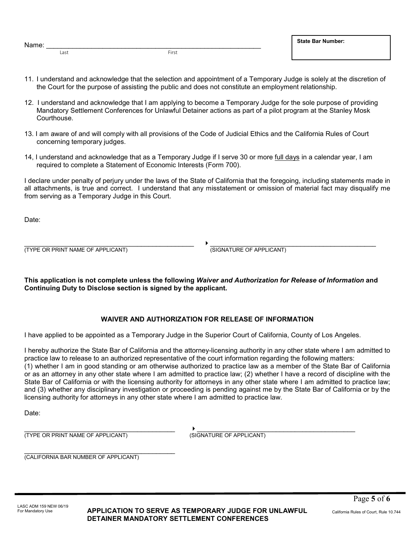| Name: |  |
|-------|--|
|       |  |

Last First

- 11. I understand and acknowledge that the selection and appointment of a Temporary Judge is solely at the discretion of the Court for the purpose of assisting the public and does not constitute an employment relationship.
- 12. I understand and acknowledge that I am applying to become a Temporary Judge for the sole purpose of providing Mandatory Settlement Conferences for Unlawful Detainer actions as part of a pilot program at the Stanley Mosk Courthouse.
- 13. I am aware of and will comply with all provisions of the Code of Judicial Ethics and the California Rules of Court concerning temporary judges.
- 14, I understand and acknowledge that as a Temporary Judge if I serve 30 or more full days in a calendar year, I am required to complete a Statement of Economic Interests (Form 700).

I declare under penalty of perjury under the laws of the State of California that the foregoing, including statements made in all attachments, is true and correct. I understand that any misstatement or omission of material fact may disqualify me from serving as a Temporary Judge in this Court.

Date:

 $\longrightarrow$  . The contribution of the contribution of  $\longrightarrow$  . The contribution of the contribution of the contribution of  $\longrightarrow$ (TYPE OR PRINT NAME OF APPLICANT) (SIGNATURE OF APPLICANT)

**This application is not complete unless the following** *Waiver and Authorization for Release of Information* **and Continuing Duty to Disclose section is signed by the applicant.**

### **WAIVER AND AUTHORIZATION FOR RELEASE OF INFORMATION**

I have applied to be appointed as a Temporary Judge in the Superior Court of California, County of Los Angeles.

I hereby authorize the State Bar of California and the attorney-licensing authority in any other state where I am admitted to practice law to release to an authorized representative of the court information regarding the following matters:

(1) whether I am in good standing or am otherwise authorized to practice law as a member of the State Bar of California or as an attorney in any other state where I am admitted to practice law; (2) whether I have a record of discipline with the State Bar of California or with the licensing authority for attorneys in any other state where I am admitted to practice law; and (3) whether any disciplinary investigation or proceeding is pending against me by the State Bar of California or by the licensing authority for attorneys in any other state where I am admitted to practice law.

Date:

\_\_\_\_\_\_\_\_\_\_\_\_\_\_\_\_\_\_\_\_\_\_\_\_\_\_\_\_\_\_\_\_\_\_\_\_\_\_\_\_ \_\_\_\_\_\_\_\_\_\_\_\_\_\_\_\_\_\_\_\_\_\_\_\_\_\_\_\_\_\_\_\_\_\_\_\_\_\_\_\_\_\_ (TYPE OR PRINT NAME OF APPLICANT) (SIGNATURE OF APPLICANT)

\_\_\_\_\_\_\_\_\_\_\_\_\_\_\_\_\_\_\_\_\_\_\_\_\_\_\_\_\_\_\_\_\_\_\_\_\_\_\_\_ (CALIFORNIA BAR NUMBER OF APPLICANT)